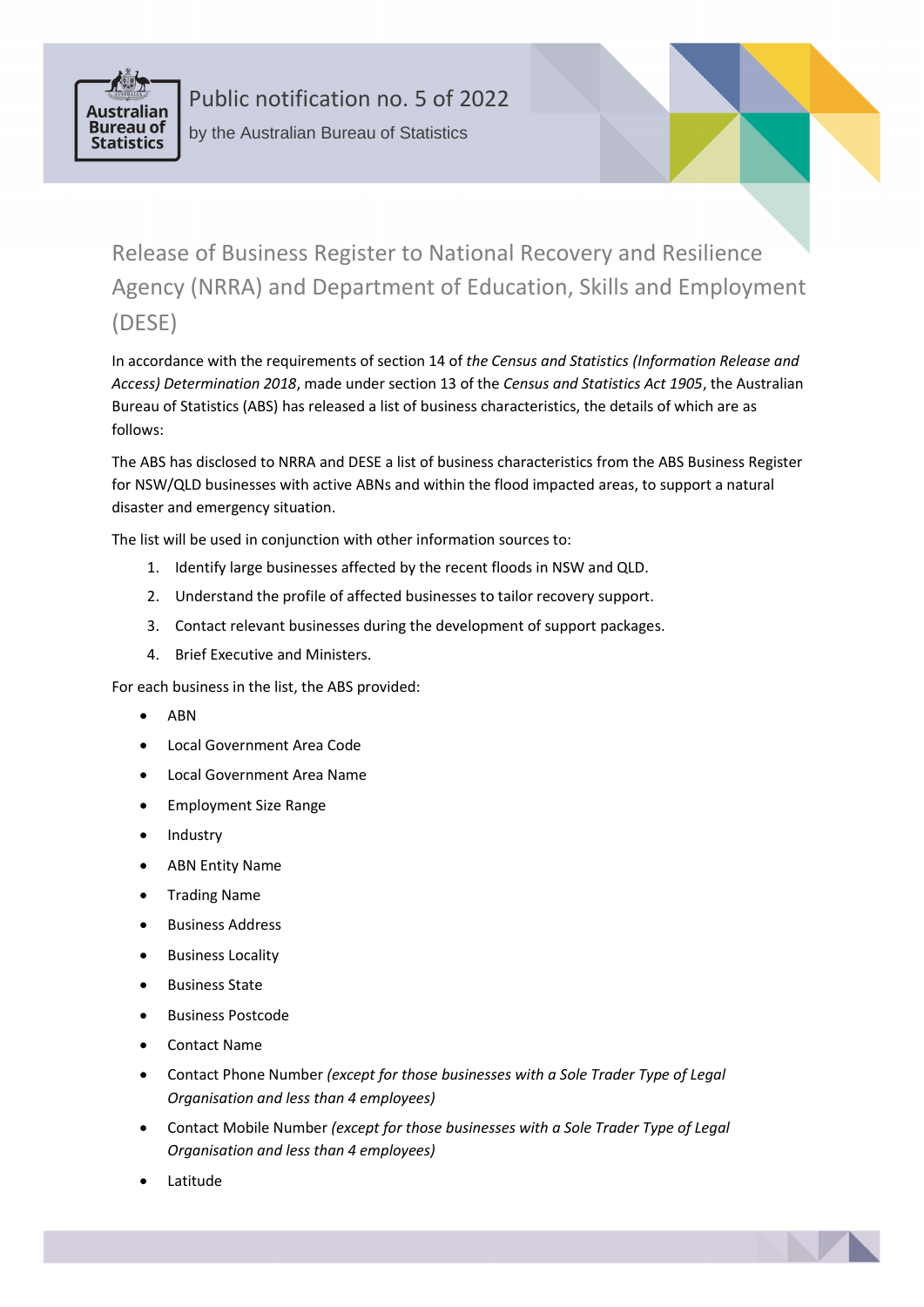

Public notification no. 5 of 2022 by the Australian Bureau of Statistics

Release of Business Register to National Recovery and Resilience Agency (NRRA) and Department of Education, Skills and Employment (DESE)

In accordance with the requirements of section 14 of *the Census and Statistics (Information Release and Access) Determination 2018*, made under section 13 of the *Census and Statistics Act 1905*, the Australian Bureau of Statistics (ABS) has released a list of business characteristics, the details of which are as follows:

The ABS has disclosed to NRRA and DESE a list of business characteristics from the ABS Business Register for NSW/QLD businesses with active ABNs and within the flood impacted areas, to support a natural disaster and emergency situation.

The list will be used in conjunction with other information sources to:

- 1. Identify large businesses affected by the recent floods in NSW and QLD.
- 2. Understand the profile of affected businesses to tailor recovery support.
- 3. Contact relevant businesses during the development of support packages.
- 4. Brief Executive and Ministers.

For each business in the list, the ABS provided:

- ABN
- Local Government Area Code
- Local Government Area Name
- Employment Size Range
- Industry
- ABN Entity Name
- Trading Name
- Business Address
- Business Locality
- Business State
- Business Postcode
- Contact Name
- Contact Phone Number *(except for those businesses with a Sole Trader Type of Legal Organisation and less than 4 employees)*
- Contact Mobile Number *(except for those businesses with a Sole Trader Type of Legal Organisation and less than 4 employees)*
- Latitude